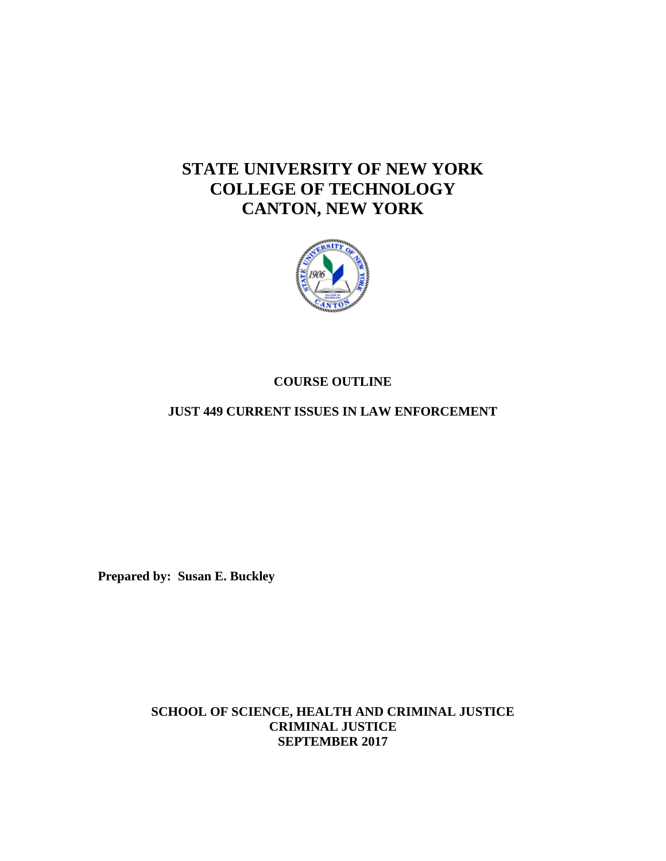# **STATE UNIVERSITY OF NEW YORK COLLEGE OF TECHNOLOGY CANTON, NEW YORK**



# **COURSE OUTLINE**

**JUST 449 CURRENT ISSUES IN LAW ENFORCEMENT** 

**Prepared by: Susan E. Buckley** 

**SCHOOL OF SCIENCE, HEALTH AND CRIMINAL JUSTICE CRIMINAL JUSTICE SEPTEMBER 2017**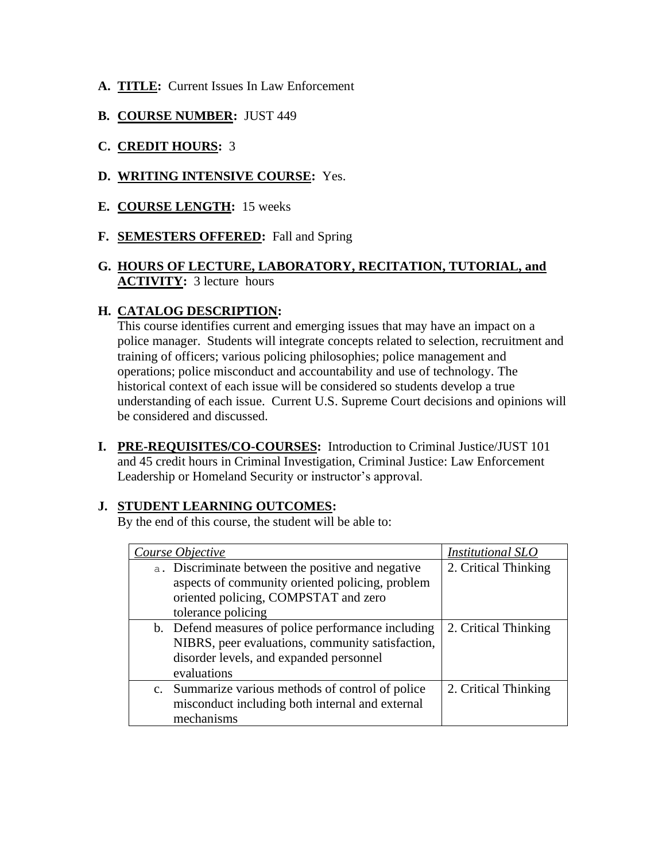- **A. TITLE:** Current Issues In Law Enforcement
- **B. COURSE NUMBER:** JUST 449
- **C. CREDIT HOURS:** 3
- **D. WRITING INTENSIVE COURSE:** Yes.
- **E. COURSE LENGTH:** 15 weeks
- **F. SEMESTERS OFFERED:** Fall and Spring

# **ACTIVITY:** 3 lecture hours **G. HOURS OF LECTURE, LABORATORY, RECITATION, TUTORIAL, and**

# **H. CATALOG DESCRIPTION:**

This course identifies current and emerging issues that may have an impact on a police manager. Students will integrate concepts related to selection, recruitment and training of officers; various policing philosophies; police management and operations; police misconduct and accountability and use of technology. The historical context of each issue will be considered so students develop a true understanding of each issue. Current U.S. Supreme Court decisions and opinions will be considered and discussed.

 **I. PRE-REQUISITES/CO-COURSES:** Introduction to Criminal Justice/JUST 101 and 45 credit hours in Criminal Investigation, Criminal Justice: Law Enforcement Leadership or Homeland Security or instructor's approval.

# **J. STUDENT LEARNING OUTCOMES:**

By the end of this course, the student will be able to:

| Course Objective                                   | Institutional SLO    |
|----------------------------------------------------|----------------------|
| a. Discriminate between the positive and negative  | 2. Critical Thinking |
| aspects of community oriented policing, problem    |                      |
| oriented policing, COMPSTAT and zero               |                      |
| tolerance policing                                 |                      |
| b. Defend measures of police performance including | 2. Critical Thinking |
| NIBRS, peer evaluations, community satisfaction,   |                      |
| disorder levels, and expanded personnel            |                      |
| evaluations                                        |                      |
| c. Summarize various methods of control of police  | 2. Critical Thinking |
| misconduct including both internal and external    |                      |
| mechanisms                                         |                      |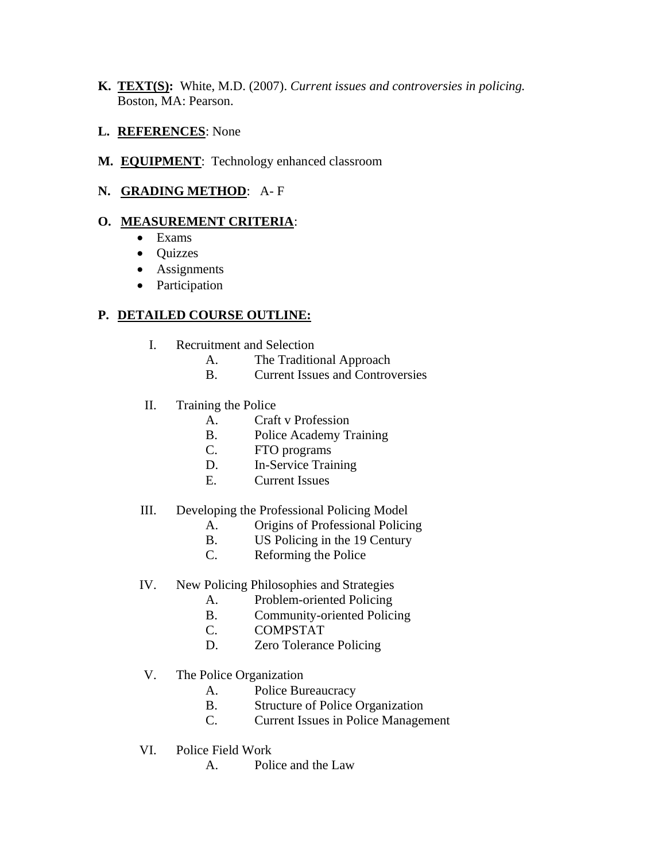- **K. TEXT(S):** White, M.D. (2007). *Current issues and controversies in policing.*  Boston, MA: Pearson.
- **L. REFERENCES**: None
- **M. EQUIPMENT**: Technology enhanced classroom
- **N. GRADING METHOD**: A- F

#### **O. MEASUREMENT CRITERIA**:

- Exams
- Quizzes
- Assignments
- Participation

# **P. DETAILED COURSE OUTLINE:**

- I. Recruitment and Selection
	- A. The Traditional Approach
	- B. Current Issues and Controversies
- II. Training the Police
	- A. Craft v Profession
	- B. Police Academy Training
	- C. FTO programs
	- D. In-Service Training
	- E. Current Issues

#### III. Developing the Professional Policing Model

- A. Origins of Professional Policing
- B. US Policing in the 19 Century
- C. Reforming the Police

#### IV. New Policing Philosophies and Strategies

- A. Problem-oriented Policing
- B. Community-oriented Policing
- C. COMPSTAT
- D. Zero Tolerance Policing
- V. The Police Organization
	- A. Police Bureaucracy
	- B. Structure of Police Organization
	- C. Current Issues in Police Management
- VI. Police Field Work
	- A. Police and the Law